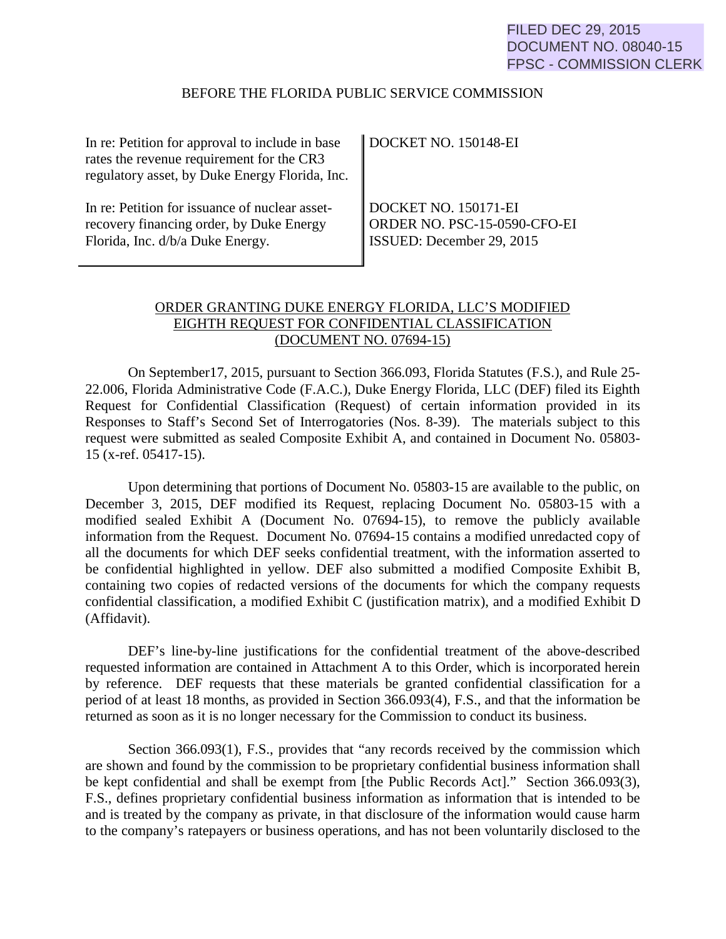#### BEFORE THE FLORIDA PUBLIC SERVICE COMMISSION

| In re: Petition for approval to include in base | DOCKET NO. 150148-EI         |
|-------------------------------------------------|------------------------------|
| rates the revenue requirement for the CR3       |                              |
| regulatory asset, by Duke Energy Florida, Inc.  |                              |
|                                                 |                              |
| In re: Petition for issuance of nuclear asset-  | DOCKET NO. 150171-EI         |
| recovery financing order, by Duke Energy        | ORDER NO. PSC-15-0590-CFO-EI |
| Florida, Inc. d/b/a Duke Energy.                | ISSUED: December 29, 2015    |
|                                                 |                              |

## ORDER GRANTING DUKE ENERGY FLORIDA, LLC'S MODIFIED EIGHTH REQUEST FOR CONFIDENTIAL CLASSIFICATION (DOCUMENT NO. 07694-15)

On September17, 2015, pursuant to Section 366.093, Florida Statutes (F.S.), and Rule 25- 22.006, Florida Administrative Code (F.A.C.), Duke Energy Florida, LLC (DEF) filed its Eighth Request for Confidential Classification (Request) of certain information provided in its Responses to Staff's Second Set of Interrogatories (Nos. 8-39). The materials subject to this request were submitted as sealed Composite Exhibit A, and contained in Document No. 05803- 15 (x-ref. 05417-15).

Upon determining that portions of Document No. 05803-15 are available to the public, on December 3, 2015, DEF modified its Request, replacing Document No. 05803-15 with a modified sealed Exhibit A (Document No. 07694-15), to remove the publicly available information from the Request. Document No. 07694-15 contains a modified unredacted copy of all the documents for which DEF seeks confidential treatment, with the information asserted to be confidential highlighted in yellow. DEF also submitted a modified Composite Exhibit B, containing two copies of redacted versions of the documents for which the company requests confidential classification, a modified Exhibit C (justification matrix), and a modified Exhibit D (Affidavit).

DEF's line-by-line justifications for the confidential treatment of the above-described requested information are contained in Attachment A to this Order, which is incorporated herein by reference. DEF requests that these materials be granted confidential classification for a period of at least 18 months, as provided in Section 366.093(4), F.S., and that the information be returned as soon as it is no longer necessary for the Commission to conduct its business.

Section 366.093(1), F.S., provides that "any records received by the commission which are shown and found by the commission to be proprietary confidential business information shall be kept confidential and shall be exempt from [the Public Records Act]." Section 366.093(3), F.S., defines proprietary confidential business information as information that is intended to be and is treated by the company as private, in that disclosure of the information would cause harm to the company's ratepayers or business operations, and has not been voluntarily disclosed to the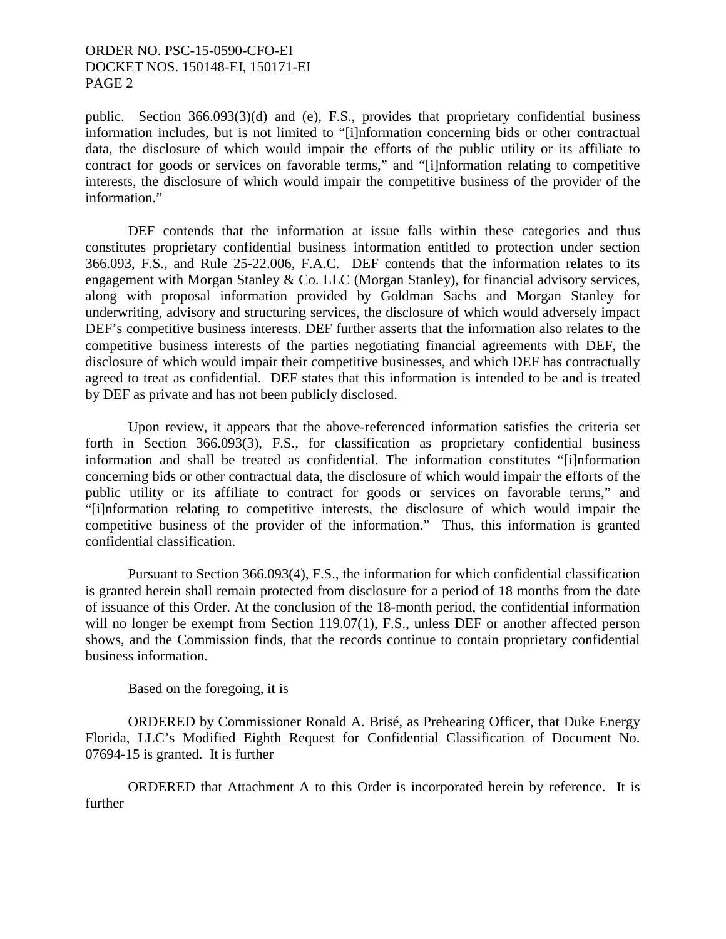### ORDER NO. PSC-15-0590-CFO-EI DOCKET NOS. 150148-EI, 150171-EI PAGE 2

public. Section 366.093(3)(d) and (e), F.S., provides that proprietary confidential business information includes, but is not limited to "[i]nformation concerning bids or other contractual data, the disclosure of which would impair the efforts of the public utility or its affiliate to contract for goods or services on favorable terms," and "[i]nformation relating to competitive interests, the disclosure of which would impair the competitive business of the provider of the information."

 DEF contends that the information at issue falls within these categories and thus constitutes proprietary confidential business information entitled to protection under section 366.093, F.S., and Rule 25-22.006, F.A.C. DEF contends that the information relates to its engagement with Morgan Stanley & Co. LLC (Morgan Stanley), for financial advisory services, along with proposal information provided by Goldman Sachs and Morgan Stanley for underwriting, advisory and structuring services, the disclosure of which would adversely impact DEF's competitive business interests. DEF further asserts that the information also relates to the competitive business interests of the parties negotiating financial agreements with DEF, the disclosure of which would impair their competitive businesses, and which DEF has contractually agreed to treat as confidential. DEF states that this information is intended to be and is treated by DEF as private and has not been publicly disclosed.

 Upon review, it appears that the above-referenced information satisfies the criteria set forth in Section 366.093(3), F.S., for classification as proprietary confidential business information and shall be treated as confidential. The information constitutes "[i]nformation concerning bids or other contractual data, the disclosure of which would impair the efforts of the public utility or its affiliate to contract for goods or services on favorable terms," and "[i]nformation relating to competitive interests, the disclosure of which would impair the competitive business of the provider of the information." Thus, this information is granted confidential classification.

 Pursuant to Section 366.093(4), F.S., the information for which confidential classification is granted herein shall remain protected from disclosure for a period of 18 months from the date of issuance of this Order. At the conclusion of the 18-month period, the confidential information will no longer be exempt from Section 119.07(1), F.S., unless DEF or another affected person shows, and the Commission finds, that the records continue to contain proprietary confidential business information.

Based on the foregoing, it is

 ORDERED by Commissioner Ronald A. Brisé, as Prehearing Officer, that Duke Energy Florida, LLC's Modified Eighth Request for Confidential Classification of Document No. 07694-15 is granted. It is further

 ORDERED that Attachment A to this Order is incorporated herein by reference. It is further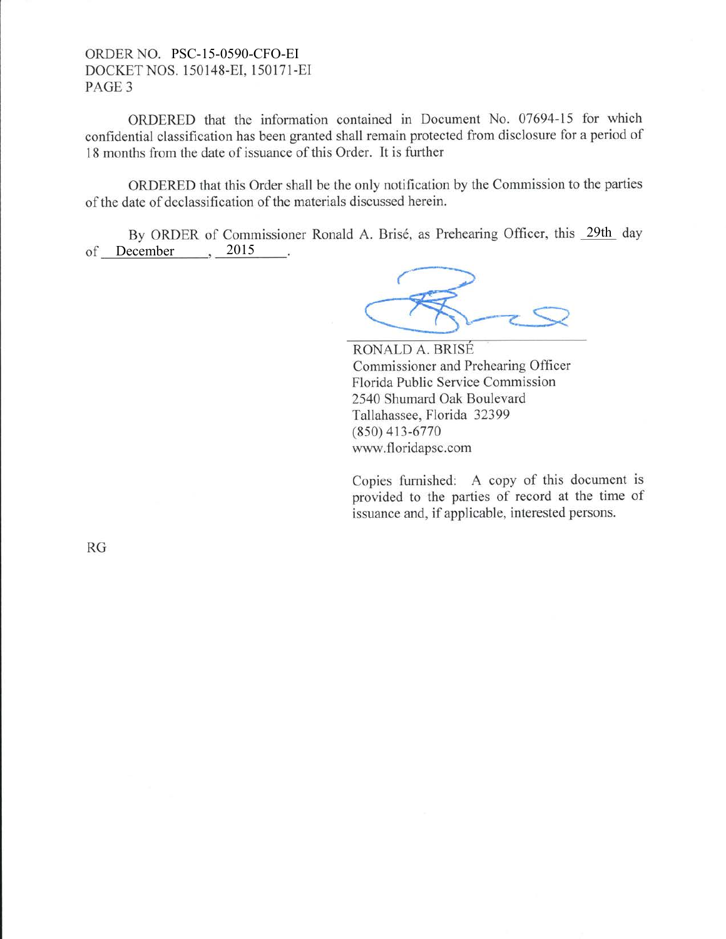### ORDER NO. PSC-15-0590-CFO-EI DOCKET NOS. 150148-EI. 150171-EI PAGE 3

ORDERED that the information contained in Document No. 07694-15 for which confidential classification has been granted shall remain protected from disclosure for a period of 18 months from the date of issuance of this Order. It is further

ORDERED that this Order shall be the only notification by the Commission to the parties of the date of declassification of the materials discussed herein.

By ORDER of Commissioner Ronald A. Brisé, as Prehearing Officer, this 29th day of December 3015 - 2

RONALD A. BRISE Commissioner and Prehearing Officer Florida Public Service Commission 2540 Shumard Oak Boulevard Tallahassee, Florida 32399 (8s0) 413-6770 www.floridapsc.com

Copies furnished: A copy of this document is provided to the parties of record at the time of issuance and, if applicable, interested persons.

RG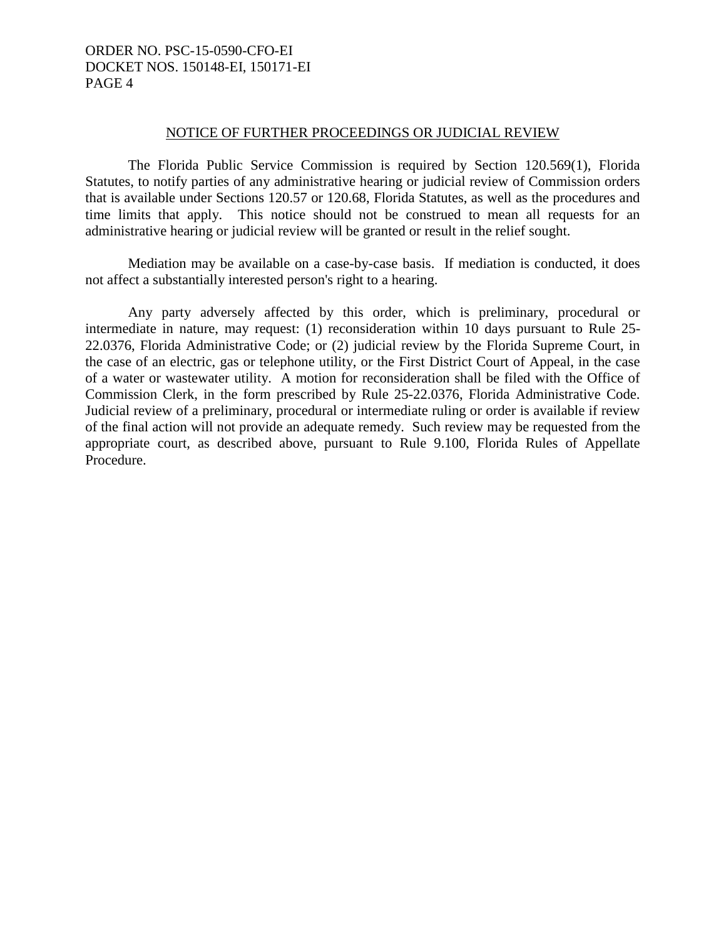## ORDER NO. PSC-15-0590-CFO-EI DOCKET NOS. 150148-EI, 150171-EI PAGE 4

#### NOTICE OF FURTHER PROCEEDINGS OR JUDICIAL REVIEW

 The Florida Public Service Commission is required by Section 120.569(1), Florida Statutes, to notify parties of any administrative hearing or judicial review of Commission orders that is available under Sections 120.57 or 120.68, Florida Statutes, as well as the procedures and time limits that apply. This notice should not be construed to mean all requests for an administrative hearing or judicial review will be granted or result in the relief sought.

 Mediation may be available on a case-by-case basis. If mediation is conducted, it does not affect a substantially interested person's right to a hearing.

 Any party adversely affected by this order, which is preliminary, procedural or intermediate in nature, may request: (1) reconsideration within 10 days pursuant to Rule 25- 22.0376, Florida Administrative Code; or (2) judicial review by the Florida Supreme Court, in the case of an electric, gas or telephone utility, or the First District Court of Appeal, in the case of a water or wastewater utility. A motion for reconsideration shall be filed with the Office of Commission Clerk, in the form prescribed by Rule 25-22.0376, Florida Administrative Code. Judicial review of a preliminary, procedural or intermediate ruling or order is available if review of the final action will not provide an adequate remedy. Such review may be requested from the appropriate court, as described above, pursuant to Rule 9.100, Florida Rules of Appellate Procedure.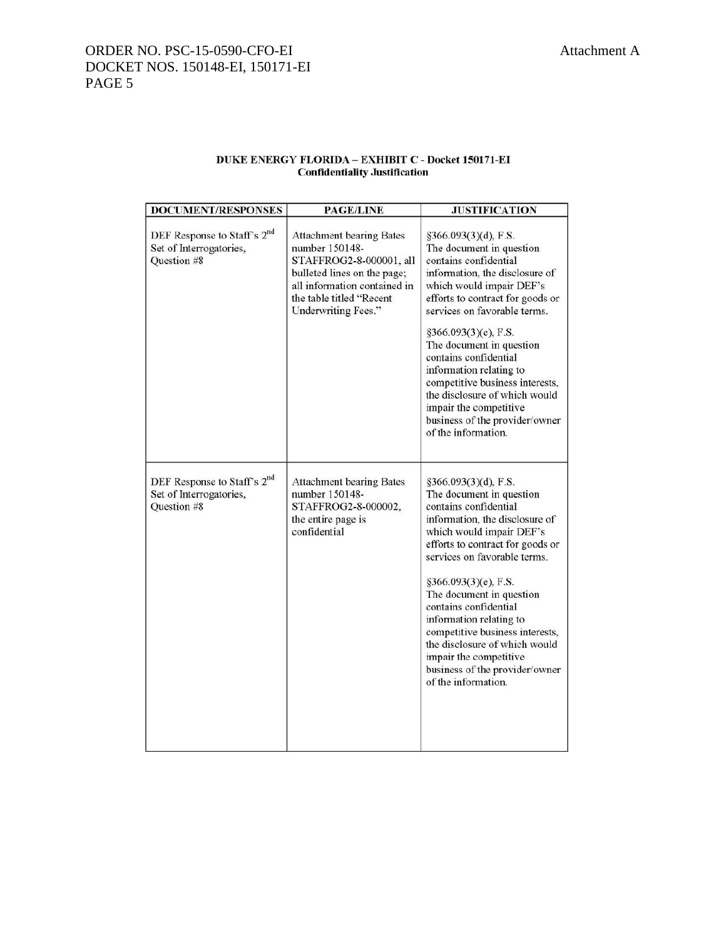#### DUKE ENERGY FLORIDA- EXHIBIT C- Docket 150171-EI **Confidentiality Justification**

| <b>DOCUMENT/RESPONSES</b>                                                         | <b>PAGE/LINE</b>                                                                                                                                                                               | <b>JUSTIFICATION</b>                                                                                                                                                                                                                                                                                                                                                                                                                                                       |
|-----------------------------------------------------------------------------------|------------------------------------------------------------------------------------------------------------------------------------------------------------------------------------------------|----------------------------------------------------------------------------------------------------------------------------------------------------------------------------------------------------------------------------------------------------------------------------------------------------------------------------------------------------------------------------------------------------------------------------------------------------------------------------|
| DEF Response to Staff's 2 <sup>nd</sup><br>Set of Interrogatories,<br>Question #8 | <b>Attachment bearing Bates</b><br>number 150148-<br>STAFFROG2-8-000001, all<br>bulleted lines on the page;<br>all information contained in<br>the table titled "Recent<br>Underwriting Fees." | §366.093(3)(d), F.S.<br>The document in question<br>contains confidential<br>information, the disclosure of<br>which would impair DEF's<br>efforts to contract for goods or<br>services on favorable terms.                                                                                                                                                                                                                                                                |
|                                                                                   |                                                                                                                                                                                                | §366.093(3)(e), F.S.<br>The document in question<br>contains confidential<br>information relating to<br>competitive business interests,<br>the disclosure of which would<br>impair the competitive<br>business of the provider/owner<br>of the information.                                                                                                                                                                                                                |
| DEF Response to Staff's 2 <sup>nd</sup><br>Set of Interrogatories,<br>Question #8 | <b>Attachment bearing Bates</b><br>number 150148-<br>STAFFROG2-8-000002,<br>the entire page is<br>confidential                                                                                 | §366.093(3)(d), F.S.<br>The document in question<br>contains confidential<br>information, the disclosure of<br>which would impair DEF's<br>efforts to contract for goods or<br>services on favorable terms.<br>§366.093(3)(e), F.S.<br>The document in question<br>contains confidential<br>information relating to<br>competitive business interests,<br>the disclosure of which would<br>impair the competitive<br>business of the provider/owner<br>of the information. |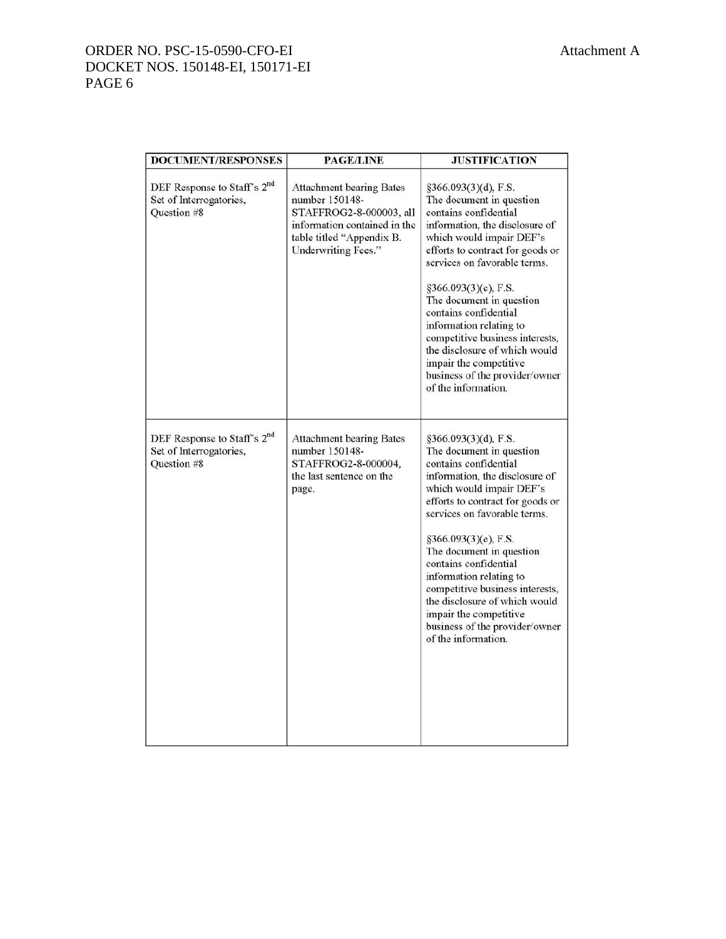# ORDER NO. PSC-15-0590-CFO-EI Attachment A DOCKET NOS. 150148-EI, 150171-EI PAGE 6

| <b>DOCUMENT/RESPONSES</b>                                                         | <b>PAGE/LINE</b>                                                                                                                                                 | <b>JUSTIFICATION</b>                                                                                                                                                                                                                                                                                                                                                                                                                                                          |
|-----------------------------------------------------------------------------------|------------------------------------------------------------------------------------------------------------------------------------------------------------------|-------------------------------------------------------------------------------------------------------------------------------------------------------------------------------------------------------------------------------------------------------------------------------------------------------------------------------------------------------------------------------------------------------------------------------------------------------------------------------|
| DEF Response to Staff's 2 <sup>nd</sup><br>Set of Interrogatories,<br>Question #8 | <b>Attachment bearing Bates</b><br>number 150148-<br>STAFFROG2-8-000003, all<br>information contained in the<br>table titled "Appendix B.<br>Underwriting Fees." | §366.093(3)(d), F.S.<br>The document in question<br>contains confidential<br>information, the disclosure of<br>which would impair DEF's<br>efforts to contract for goods or<br>services on favorable terms.<br>§366.093(3)(e), F.S.<br>The document in question<br>contains confidential<br>information relating to<br>competitive business interests,<br>the disclosure of which would<br>impair the competitive<br>business of the provider/owner<br>of the information.    |
| DEF Response to Staff's 2 <sup>nd</sup><br>Set of Interrogatories,<br>Question #8 | <b>Attachment bearing Bates</b><br>number 150148-<br>STAFFROG2-8-000004.<br>the last sentence on the<br>page.                                                    | $§366.093(3)(d)$ , F.S.<br>The document in question<br>contains confidential<br>information, the disclosure of<br>which would impair DEF's<br>efforts to contract for goods or<br>services on favorable terms.<br>§366.093(3)(e), F.S.<br>The document in question<br>contains confidential<br>information relating to<br>competitive business interests,<br>the disclosure of which would<br>impair the competitive<br>business of the provider/owner<br>of the information. |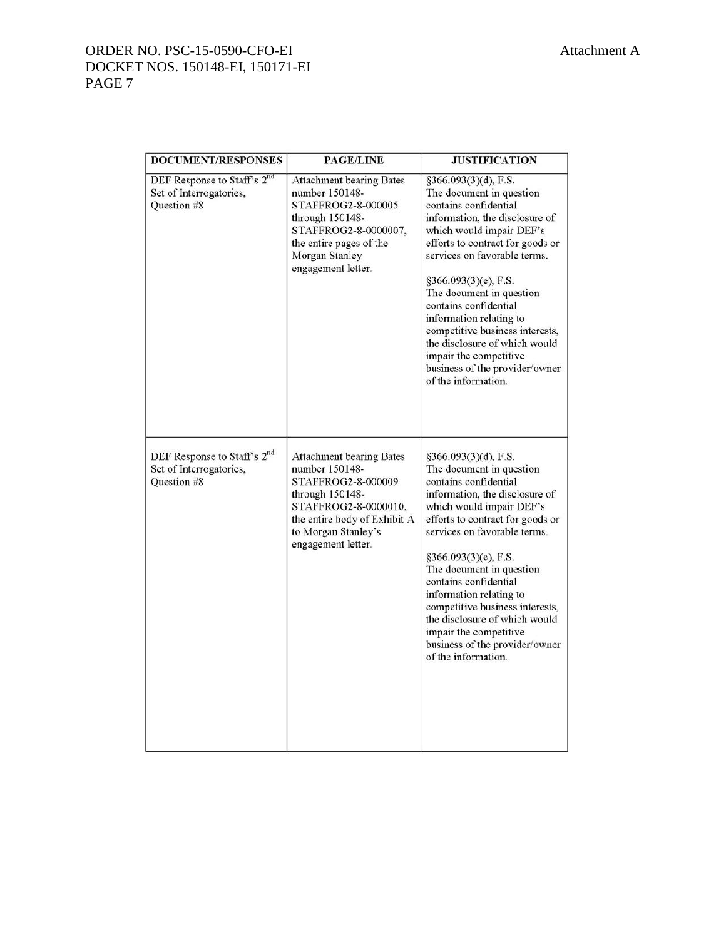# ORDER NO. PSC-15-0590-CFO-EI Attachment A DOCKET NOS. 150148-EI, 150171-EI PAGE 7

| <b>DOCUMENT/RESPONSES</b>                                                                | <b>PAGE/LINE</b>                                                                                                                                                                                | <b>JUSTIFICATION</b>                                                                                                                                                                                                                                                                                                                                                                                                                                                       |
|------------------------------------------------------------------------------------------|-------------------------------------------------------------------------------------------------------------------------------------------------------------------------------------------------|----------------------------------------------------------------------------------------------------------------------------------------------------------------------------------------------------------------------------------------------------------------------------------------------------------------------------------------------------------------------------------------------------------------------------------------------------------------------------|
| DEF Response to Staff's 2 <sup>nd</sup><br>Set of Interrogatories,<br><b>Ouestion #8</b> | <b>Attachment bearing Bates</b><br>number 150148-<br>STAFFROG2-8-000005<br>through 150148-<br>STAFFROG2-8-0000007,<br>the entire pages of the<br>Morgan Stanley<br>engagement letter.           | §366.093(3)(d), F.S.<br>The document in question<br>contains confidential<br>information, the disclosure of<br>which would impair DEF's<br>efforts to contract for goods or<br>services on favorable terms.<br>§366.093(3)(e), F.S.<br>The document in question<br>contains confidential<br>information relating to<br>competitive business interests,<br>the disclosure of which would<br>impair the competitive<br>business of the provider/owner<br>of the information. |
| DEF Response to Staff's 2 <sup>nd</sup><br>Set of Interrogatories,<br>Question #8        | <b>Attachment bearing Bates</b><br>number 150148-<br>STAFFROG2-8-000009<br>through 150148-<br>STAFFROG2-8-0000010,<br>the entire body of Exhibit A<br>to Morgan Stanley's<br>engagement letter. | §366.093(3)(d), F.S.<br>The document in question<br>contains confidential<br>information, the disclosure of<br>which would impair DEF's<br>efforts to contract for goods or<br>services on favorable terms.<br>§366.093(3)(e), F.S.<br>The document in question<br>contains confidential<br>information relating to<br>competitive business interests,<br>the disclosure of which would<br>impair the competitive<br>business of the provider/owner<br>of the information. |